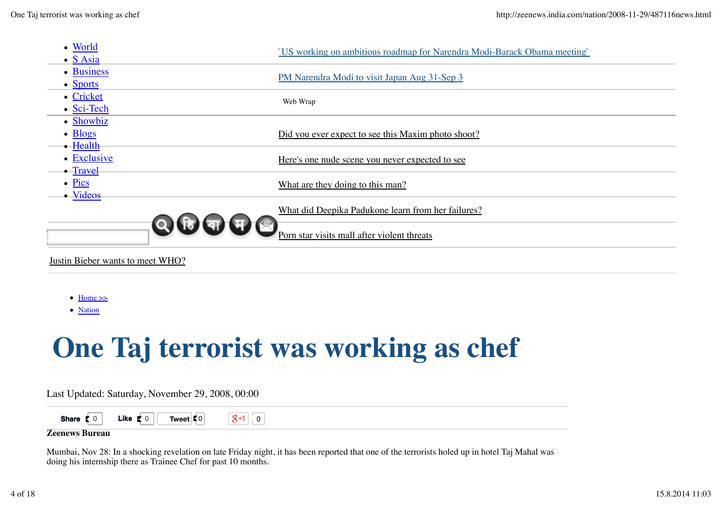

Justin Bieber wants to meet WHO?

- $\bullet$  Home  $\gg$
- Nation

## **One Taj terrorist was working as chef**

Last Updated: Saturday, November 29, 2008, 00:00



## **Zeenews Bureau**

Mumbai, Nov 28: In a shocking revelation on late Friday night, it has been reported that one of the terrorists holed up in hotel Taj Mahal was doing his internship there as Trainee Chef for past 10 months.